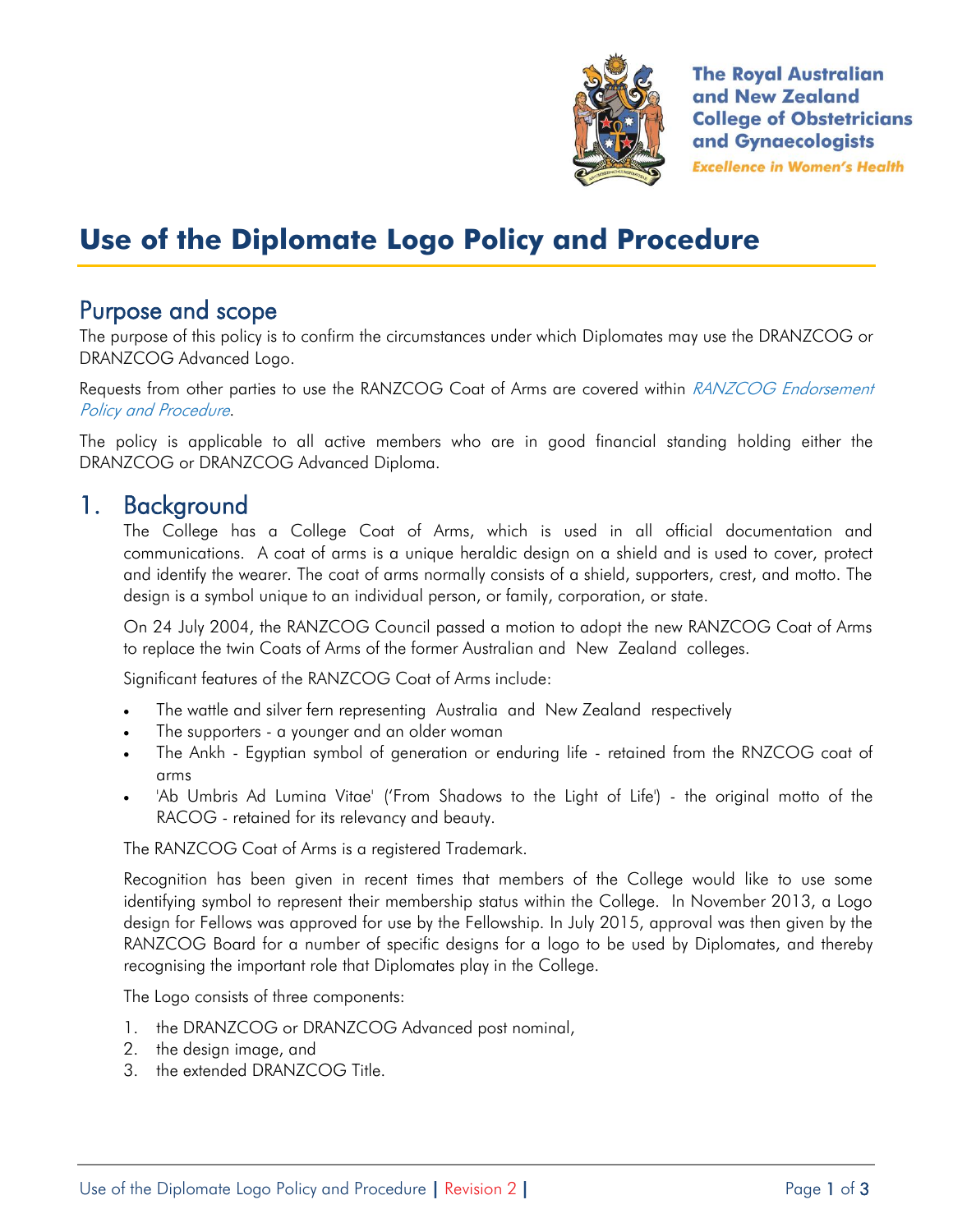

**The Royal Australian** and New Zealand **College of Obstetricians** and Gynaecologists **Excellence in Women's Health** 

# **Use of the Diplomate Logo Policy and Procedure**

### Purpose and scope

The purpose of this policy is to confirm the circumstances under which Diplomates may use the DRANZCOG or DRANZCOG Advanced Logo.

Requests from other parties to use the RANZCOG Coat of Arms are covered within RANZCOG Endorsement Policy and Procedure.

The policy is applicable to all active members who are in good financial standing holding either the DRANZCOG or DRANZCOG Advanced Diploma.

### 1. Background

The College has a College Coat of Arms, which is used in all official documentation and communications. A coat of arms is a unique heraldic design on a shield and is used to cover, protect and identify the wearer. The coat of arms normally consists of a shield, supporters, crest, and motto. The design is a symbol unique to an individual person, or family, corporation, or state.

On 24 July 2004, the RANZCOG Council passed a motion to adopt the new RANZCOG Coat of Arms to replace the twin Coats of Arms of the former Australian and New Zealand colleges.

Significant features of the RANZCOG Coat of Arms include:

- The wattle and silver fern representing Australia and New Zealand respectively
- The supporters a younger and an older woman
- The Ankh Egyptian symbol of generation or enduring life retained from the RNZCOG coat of arms
- 'Ab Umbris Ad Lumina Vitae' ('From Shadows to the Light of Life') the original motto of the RACOG - retained for its relevancy and beauty.

The RANZCOG Coat of Arms is a registered Trademark.

Recognition has been given in recent times that members of the College would like to use some identifying symbol to represent their membership status within the College. In November 2013, a Logo design for Fellows was approved for use by the Fellowship. In July 2015, approval was then given by the RANZCOG Board for a number of specific designs for a logo to be used by Diplomates, and thereby recognising the important role that Diplomates play in the College.

The Logo consists of three components:

- 1. the DRANZCOG or DRANZCOG Advanced post nominal,
- 2. the design image, and
- 3. the extended DRANZCOG Title.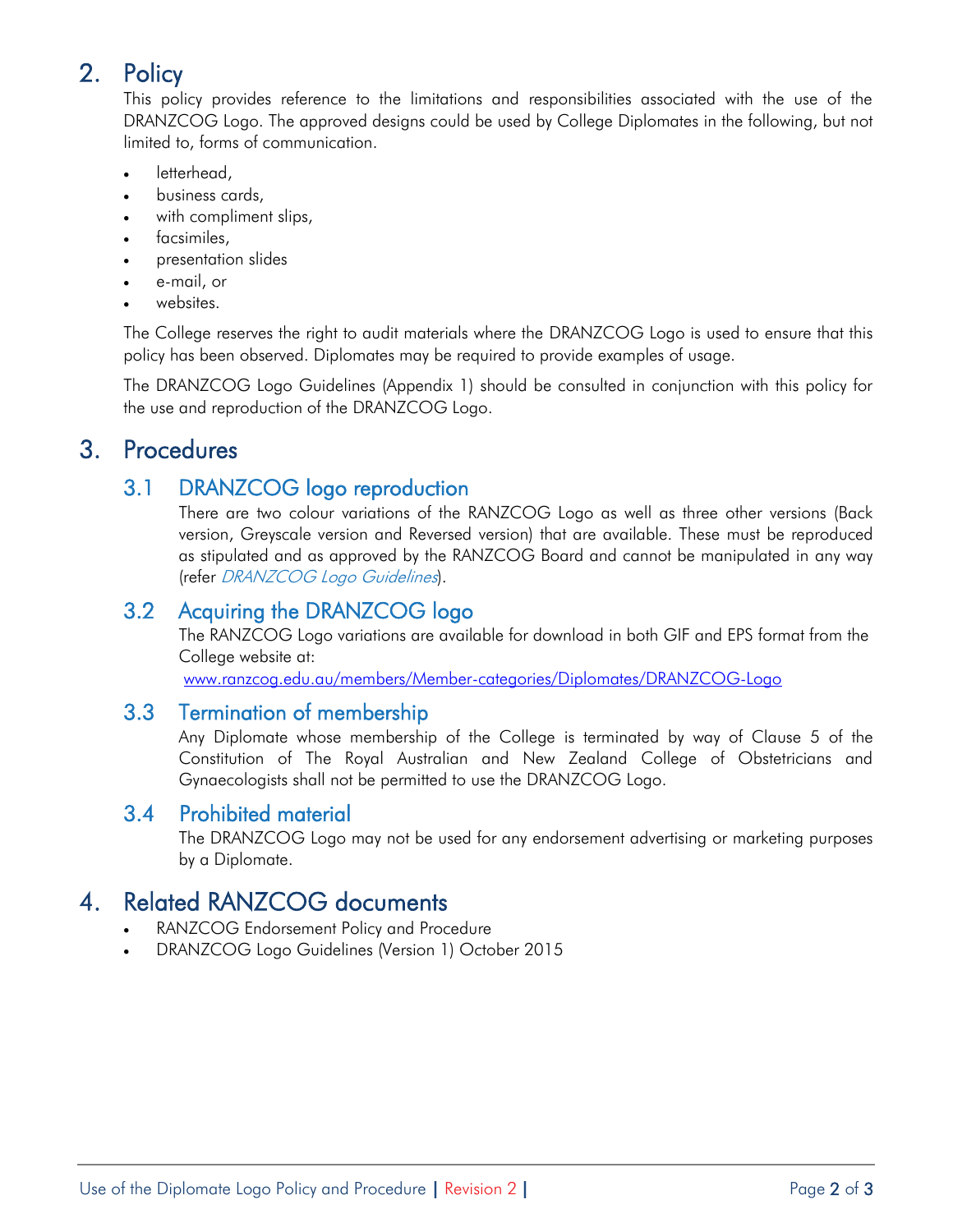# 2. Policy

This policy provides reference to the limitations and responsibilities associated with the use of the DRANZCOG Logo. The approved designs could be used by College Diplomates in the following, but not limited to, forms of communication.

- letterhead,
- business cards,
- with compliment slips,
- facsimiles,
- presentation slides
- e-mail, or
- websites.

The College reserves the right to audit materials where the DRANZCOG Logo is used to ensure that this policy has been observed. Diplomates may be required to provide examples of usage.

The DRANZCOG Logo Guidelines (Appendix 1) should be consulted in conjunction with this policy for the use and reproduction of the DRANZCOG Logo.

# 3. Procedures

#### 3.1 DRANZCOG logo reproduction

There are two colour variations of the RANZCOG Logo as well as three other versions (Back version, Greyscale version and Reversed version) that are available. These must be reproduced as stipulated and as approved by the RANZCOG Board and cannot be manipulated in any way (refer DRANZCOG Logo Guidelines).

#### 3.2 Acquiring the DRANZCOG logo

The RANZCOG Logo variations are available for download in both GIF and EPS format from the College website at:

[www.ranzcog.edu.au/members/Member-categories/Diplomates/DRANZCOG-Logo](http://www.ranzcog.edu.au/members/Member-categories/Diplomates/DRANZCOG-Logo)

#### 3.3 Termination of membership

Any Diplomate whose membership of the College is terminated by way of Clause 5 of the Constitution of The Royal Australian and New Zealand College of Obstetricians and Gynaecologists shall not be permitted to use the DRANZCOG Logo.

#### 3.4 Prohibited material

The DRANZCOG Logo may not be used for any endorsement advertising or marketing purposes by a Diplomate.

## 4. Related RANZCOG documents

- RANZCOG Endorsement Policy and Procedure
- DRANZCOG Logo Guidelines (Version 1) October 2015